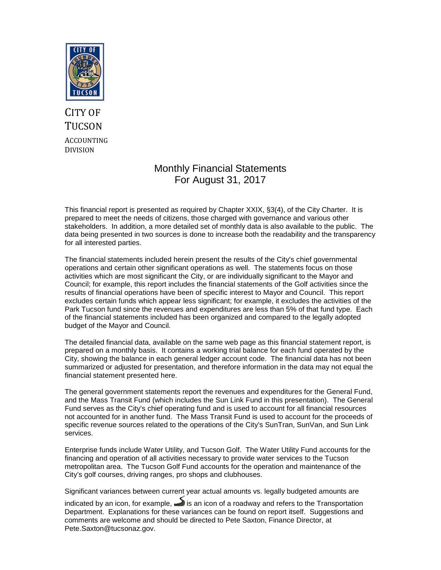

# CITY OF **TUCSON** ACCOUNTING DIVISION

## Monthly Financial Statements For August 31, 2017

This financial report is presented as required by Chapter XXIX, §3(4), of the City Charter. It is prepared to meet the needs of citizens, those charged with governance and various other stakeholders. In addition, a more detailed set of monthly data is also available to the public. The data being presented in two sources is done to increase both the readability and the transparency for all interested parties.

The financial statements included herein present the results of the City's chief governmental operations and certain other significant operations as well. The statements focus on those activities which are most significant the City, or are individually significant to the Mayor and Council; for example, this report includes the financial statements of the Golf activities since the results of financial operations have been of specific interest to Mayor and Council. This report excludes certain funds which appear less significant; for example, it excludes the activities of the Park Tucson fund since the revenues and expenditures are less than 5% of that fund type. Each of the financial statements included has been organized and compared to the legally adopted budget of the Mayor and Council.

The detailed financial data, available on the same web page as this financial statement report, is prepared on a monthly basis. It contains a working trial balance for each fund operated by the City, showing the balance in each general ledger account code. The financial data has not been summarized or adjusted for presentation, and therefore information in the data may not equal the financial statement presented here.

The general government statements report the revenues and expenditures for the General Fund, and the Mass Transit Fund (which includes the Sun Link Fund in this presentation). The General Fund serves as the City's chief operating fund and is used to account for all financial resources not accounted for in another fund. The Mass Transit Fund is used to account for the proceeds of specific revenue sources related to the operations of the City's SunTran, SunVan, and Sun Link services.

Enterprise funds include Water Utility, and Tucson Golf. The Water Utility Fund accounts for the financing and operation of all activities necessary to provide water services to the Tucson metropolitan area. The Tucson Golf Fund accounts for the operation and maintenance of the City's golf courses, driving ranges, pro shops and clubhouses.

Significant variances between current year actual amounts vs. legally budgeted amounts are

indicated by an icon, for example,  $\blacktriangleright$  is an icon of a roadway and refers to the Transportation Department. Explanations for these variances can be found on report itself. Suggestions and comments are welcome and should be directed to Pete Saxton, Finance Director, at Pete.Saxton@tucsonaz.gov.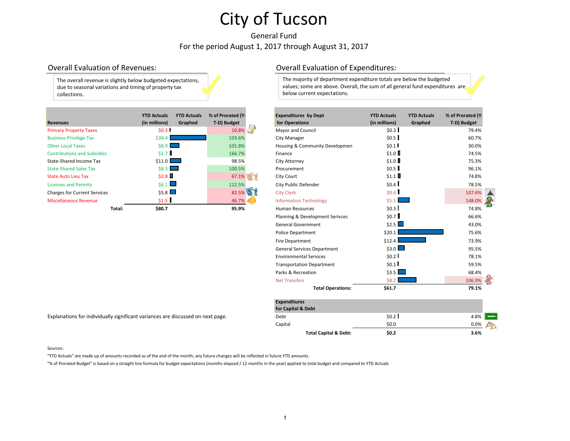## General Fund For the period August 1, 2017 through August 31, 2017

The overall revenue is slightly below budgeted expectations, due to seasonal variations and timing of property tax collections.

| <b>Revenues</b>                     |        | <b>YTD Actuals</b><br>(in millions) | <b>YTD Actuals</b><br>Graphed | % of Prorated (Y-<br>T-D) Budget |  |
|-------------------------------------|--------|-------------------------------------|-------------------------------|----------------------------------|--|
| <b>Primary Property Taxes</b>       |        | \$0.3                               |                               | 10.8%                            |  |
| <b>Business Privilege Tax</b>       |        | \$34.4\$                            |                               | 103.6%                           |  |
| <b>Other Local Taxes</b>            |        | $$8.9$ $\Box$                       |                               | 101.8%                           |  |
| <b>Contributions and Subsidies</b>  |        | \$1.7                               |                               | 166.7%                           |  |
| State-Shared Income Tax             |        | $$11.0$ $\Box$                      |                               | 98.5%                            |  |
| <b>State-Shared Sales Tax</b>       |        | \$8.3                               |                               | 100.5%                           |  |
| <b>State Auto Lieu Tax</b>          |        | \$2.8                               |                               | 67.1%                            |  |
| <b>Licenses and Permits</b>         |        | \$6.1                               |                               | 122.5%                           |  |
| <b>Charges for Current Services</b> |        | \$5.8                               |                               | 82.5%                            |  |
| Miscellaneous Revenue               |        | \$1.5                               |                               | 46.7%                            |  |
|                                     | Total: | \$80.7                              |                               | 95.9%                            |  |

## Overall Evaluation of Revenues: Overall Evaluation of Expenditures:

The majority of department expenditure totals are below the budgeted values; some are above. Overall, the sum of all general fund expenditures are below current expectations.

| <b>Revenues</b>                     | <b>YTD Actuals</b><br>(in millions) | <b>YTD Actuals</b><br>Graphed | % of Prorated (Y-<br>T-D) Budget |     | <b>Expenditures by Dept</b><br>for Operations | <b>YTD Actuals</b><br>(in millions) | <b>YTD Actuals</b><br>Graphed | % of Prorated (Y-<br>T-D) Budget |  |
|-------------------------------------|-------------------------------------|-------------------------------|----------------------------------|-----|-----------------------------------------------|-------------------------------------|-------------------------------|----------------------------------|--|
| <b>Primary Property Taxes</b>       | \$0.3                               |                               | 10.8%                            |     | Mayor and Council                             | \$0.3                               |                               | 79.4%                            |  |
| <b>Business Privilege Tax</b>       | \$34.4                              |                               | 103.6%                           |     | City Manager                                  | \$0.5                               |                               | 60.7%                            |  |
| <b>Other Local Taxes</b>            | $$8.9$ $\Box$                       |                               | 101.8%                           |     | Housing & Community Developmen                | \$0.1                               |                               | 30.0%                            |  |
| <b>Contributions and Subsidies</b>  | \$1.7                               |                               | 166.7%                           |     | Finance                                       | \$1.0                               |                               | 74.5%                            |  |
| State-Shared Income Tax             | $$11.0$ $\Box$                      |                               | 98.5%                            |     | City Attorney                                 | \$1.0                               |                               | 75.3%                            |  |
| <b>State-Shared Sales Tax</b>       | \$8.3                               |                               | 100.5%                           |     | Procurement                                   | \$0.5                               |                               | 96.1%                            |  |
| <b>State Auto Lieu Tax</b>          | \$2.8                               |                               | 67.1%                            | \$7 | City Court                                    | \$1.1                               |                               | 74.8%                            |  |
| <b>Licenses and Permits</b>         | \$6.1                               |                               | 122.5%                           |     | City Public Defender                          | \$0.4                               |                               | 78.5%                            |  |
| <b>Charges for Current Services</b> | \$5.8                               |                               | 82.5%                            |     | <b>City Clerk</b>                             | \$0.6                               |                               | 107.6%                           |  |
| <b>Miscellaneous Revenue</b>        | \$1.5                               |                               | 46.7%                            |     | <b>Information Technology</b>                 | \$5.1                               |                               | 148.0%                           |  |
| Total:                              | \$80.7                              |                               | 95.9%                            |     | <b>Human Resources</b>                        | \$0.3                               |                               | 74.8%                            |  |
|                                     |                                     |                               |                                  |     | Planning & Development Serivces               | \$0.7                               |                               | 66.6%                            |  |
|                                     |                                     |                               |                                  |     | <b>General Government</b>                     | \$2.5                               |                               | 43.0%                            |  |
|                                     |                                     |                               |                                  |     | <b>Police Department</b>                      | \$20.1                              |                               | 75.6%                            |  |
|                                     |                                     |                               |                                  |     | <b>Fire Department</b>                        | \$12.4                              |                               | 73.9%                            |  |
|                                     |                                     |                               |                                  |     | <b>General Services Department</b>            | \$3.0                               |                               | 95.5%                            |  |
|                                     |                                     |                               |                                  |     | <b>Environmental Services</b>                 | \$0.2                               |                               | 78.1%                            |  |
|                                     |                                     |                               |                                  |     | <b>Transportation Department</b>              | \$0.1                               |                               | 59.5%                            |  |
|                                     |                                     |                               |                                  |     | Parks & Recreation                            | \$3.5                               |                               | 68.4%                            |  |
|                                     |                                     |                               |                                  |     | <b>Net Transfers</b>                          | \$8.2                               |                               | 106.9%                           |  |
|                                     |                                     |                               |                                  |     | <b>Total Operations:</b>                      | \$61.7                              |                               | 79.1%                            |  |

| <b>Expenditures</b>              |         |                     |
|----------------------------------|---------|---------------------|
| for Capital & Debt               |         |                     |
| Debt                             | \$0.2   | 4.8%<br><b>BOND</b> |
| Capital                          | \$0.0   | 0.0%                |
| <b>Total Capital &amp; Debt:</b> | \$0.2\$ | 3.6%                |

Explanations for individually significant variances are discussed on next page.

### Sources:

"YTD Actuals" are made up of amounts recorded as of the end of the month; any future changes will be reflected in future YTD amounts.

"% of Prorated Budget" is based on a straight line formula for budget expectations (months elapsed / 12 months in the year) applied to total budget and compared to YTD Actuals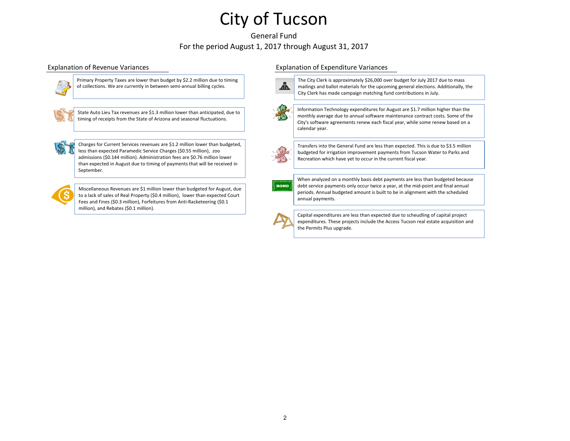## General Fund For the period August 1, 2017 through August 31, 2017



Primary Property Taxes are lower than budget by \$2.2 million due to timing of collections. We are currently in between semi-annual billing cycles.

State Auto Lieu Tax revenues are \$1.3 million lower than anticipated, due to timing of receipts from the State of Arizona and seasonal fluctuations.



Charges for Current Services revenues are \$1.2 million lower than budgeted, less than expected Paramedic Service Charges (\$0.55 million), zoo admissions (\$0.144 million). Administration fees are \$0.76 million lower than expected in August due to timing of payments that will be received in September.

Miscellaneous Revenues are \$1 million lower than budgeted for August, due to a lack of sales of Real Property (\$0.4 million), lower than expected Court Fees and Fines (\$0.3 million), Forfeitures from Anti-Racketeering (\$0.1 million), and Rebates (\$0.1 million).

## Explanation of Revenue Variances Explanation of Expenditure Variances



The City Clerk is approximately \$26,000 over budget for July 2017 due to mass mailings and ballot materials for the upcoming general elections. Additionally, the City Clerk has made campaign matching fund contributions in July.



Information Technology expenditures for August are \$1.7 million higher than the monthly average due to annual software maintenance contract costs. Some of the City's software agreements renew each fiscal year, while some renew based on a calendar year.

Transfers into the General Fund are less than expected. This is due to \$3.5 million budgeted for irrigation improvement payments from Tucson Water to Parks and Recreation which have yet to occur in the current fiscal year.

**BOND** 

When analyzed on a monthly basis debt payments are less than budgeted because debt service payments only occur twice a year, at the mid-point and final annual periods. Annual budgeted amount is built to be in alignment with the scheduled annual payments.

Capital expenditures are less than expected due to scheudling of capital project expenditures. These projects include the Access Tucson real estate acquisition and the Permits Plus upgrade.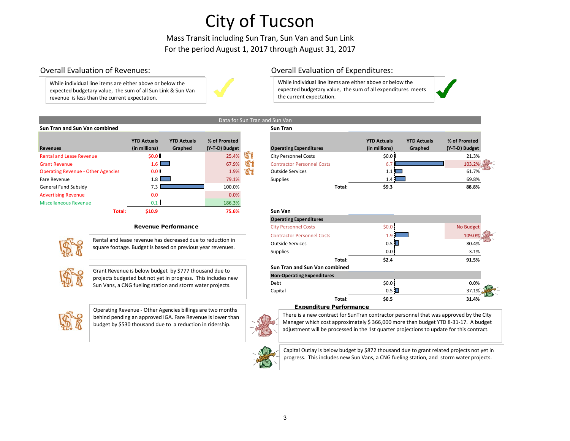Mass Transit including Sun Tran, Sun Van and Sun Link For the period August 1, 2017 through August 31, 2017

While individual line items are either above or below the expected budgetary value, the sum of all Sun Link & Sun Van revenue is less than the current expectation.



## Overall Evaluation of Revenues: Overall Evaluation of Expenditures:

While individual line items are either above or below the expected budgetary value, the sum of all expenditures meets the current expectation.

|                                           |                                     |                               |                                 |    | Data for Sun Tran and Sun Van     |        |                                     |                               |                                 |
|-------------------------------------------|-------------------------------------|-------------------------------|---------------------------------|----|-----------------------------------|--------|-------------------------------------|-------------------------------|---------------------------------|
| <b>Sun Tran and Sun Van combined</b>      |                                     |                               |                                 |    | <b>Sun Tran</b>                   |        |                                     |                               |                                 |
| <b>Revenues</b>                           | <b>YTD Actuals</b><br>(in millions) | <b>YTD Actuals</b><br>Graphed | % of Prorated<br>(Y-T-D) Budget |    | <b>Operating Expenditures</b>     |        | <b>YTD Actuals</b><br>(in millions) | <b>YTD Actuals</b><br>Graphed | % of Prorated<br>(Y-T-D) Budget |
| <b>Rental and Lease Revenue</b>           | \$0.0 <sub>1</sub>                  |                               | 25.4%                           | 51 | <b>City Personnel Costs</b>       |        | \$0.0                               |                               | 21.3%                           |
| <b>Grant Revenue</b>                      | $1.6$ $\Box$                        |                               | 67.9%                           | 51 | <b>Contractor Personnel Costs</b> |        | 6.7                                 |                               | 103.2%                          |
| <b>Operating Revenue - Other Agencies</b> | 0.01                                |                               | 1.9%                            | 51 | <b>Outside Services</b>           |        | $1.1$ $\Box$                        |                               | 61.7%                           |
| Fare Revenue                              | $1.8$ $\Box$                        |                               | 79.1%                           |    | Supplies                          |        | $1.4$ $\Box$                        |                               | 69.8%                           |
| General Fund Subsidy                      | 7.3                                 |                               | 100.0%                          |    |                                   | Total: | \$9.3                               |                               | 88.8%                           |
| <b>Advertising Revenue</b>                | 0.0                                 |                               | 0.0%                            |    |                                   |        |                                     |                               |                                 |
| <b>Miscellaneous Revenue</b>              | 0.1                                 |                               | 186.3%                          |    |                                   |        |                                     |                               |                                 |
| Total:                                    | \$10.9                              |                               | 75.6%                           |    | Sun Van                           |        |                                     |                               |                                 |

### Revenue Performance



Rental and lease revenue has decreased due to reduction in square footage. Budget is based on previous year revenues.



Grant Revenue is below budget by \$777 thousand due to projects budgeted but not yet in progress. This includes new Sun Vans, a CNG fueling station and storm water projects.



Operating Revenue - Other Agencies billings are two months behind pending an approved IGA. Fare Revenue is lower than budget by \$530 thousand due to a reduction in ridership.



**Operating Expenditures YTD Actuals (in millions) YTD Actuals Graphed % of Prorated (Y-T-D) Budget** Contractor Personnel Costs 6.7 103.2% Contractor Personnel Costs 6.7 103.2% Contractor Personnel Costs 6.7 103.2%

| sun van                           |         |           |
|-----------------------------------|---------|-----------|
| <b>Operating Expenditures</b>     |         |           |
| <b>City Personnel Costs</b>       | \$0.0\$ | No Budget |
| <b>Contractor Personnel Costs</b> | 1.9     | 109.0%    |
| <b>Outside Services</b>           | 0.5     | 80.4%     |
| <b>Supplies</b>                   | 0.0     | $-3.1%$   |
| Total:                            | \$2.4   | 91.5%     |
| Sun Tran and Sun Van combined     |         |           |
| <b>Non-Operating Expenditures</b> |         |           |
| Debt                              | \$0.0\$ | 0.0%      |
| Capital                           | 0.5     | 37.1%     |
| Total:                            | \$0.5   | 31.4%     |
|                                   |         |           |

### Expenditure Performance

There is a new contract for SunTran contractor personnel that was approved by the City Manager which cost approximately \$ 366,000 more than budget YTD 8-31-17. A budget adjustment will be processed in the 1st quarter projections to update for this contract.



Capital Outlay is below budget by \$872 thousand due to grant related projects not yet in progress. This includes new Sun Vans, a CNG fueling station, and storm water projects.



3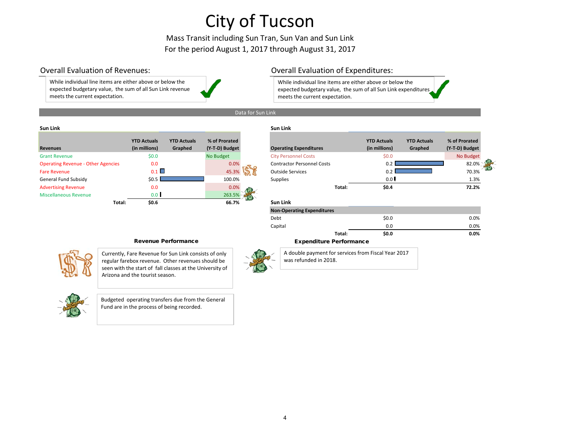Mass Transit including Sun Tran, Sun Van and Sun Link For the period August 1, 2017 through August 31, 2017

While individual line items are either above or below the expected budgetary value, the sum of all Sun Link revenue meets the current expectation.

## Overall Evaluation of Revenues: Overall Evaluation of Expenditures:

While individual line items are either above or below the expected budgetary value, the sum of all Sun Link expenditures meets the current expectation.

## Data for Sun Link

### **Sun Link Sun Link**

|                                           | <b>YTD Actuals</b> | <b>YTD Actuals</b> | % of Prorated  |                                   |        | <b>YTD Actuals</b> | <b>YTD Actuals</b> | % of Prorated  |
|-------------------------------------------|--------------------|--------------------|----------------|-----------------------------------|--------|--------------------|--------------------|----------------|
| <b>Revenues</b>                           | (in millions)      | Graphed            | (Y-T-D) Budget | <b>Operating Expenditures</b>     |        | (in millions)      | Graphed            | (Y-T-D) Budget |
| <b>Grant Revenue</b>                      | \$0.0\$            |                    | No Budget      | <b>City Personnel Costs</b>       |        | \$0.0\$            |                    | No Budget      |
| <b>Operating Revenue - Other Agencies</b> | 0.0                |                    | 0.0%           | <b>Contractor Personnel Costs</b> |        | 0.2                |                    | 82.0%          |
| <b>Fare Revenue</b>                       | 0.1                |                    | 45.3%          | <b>Outside Services</b>           |        | 0. 2               |                    | 70.3%          |
| General Fund Subsidy                      | \$0.5              |                    | 100.0%         | Supplies                          |        | 0.0                |                    | 1.3%           |
| <b>Advertising Revenue</b>                | 0.0                |                    | 0.0%           |                                   | Total: | \$0.4              |                    | 72.2%          |
| <b>Miscellaneous Revenue</b>              | 0.0 <sub>1</sub>   |                    | 263.5%         |                                   |        |                    |                    |                |
| Total:                                    | \$0.6              |                    | 66.7%          | <b>Sun Link</b>                   |        |                    |                    |                |

|                                 | JUILLIIN                          |        |                                     |                               |                                 |  |
|---------------------------------|-----------------------------------|--------|-------------------------------------|-------------------------------|---------------------------------|--|
| % of Prorated<br>(Y-T-D) Budget | <b>Operating Expenditures</b>     |        | <b>YTD Actuals</b><br>(in millions) | <b>YTD Actuals</b><br>Graphed | % of Prorated<br>(Y-T-D) Budget |  |
| No Budget                       | <b>City Personnel Costs</b>       |        | \$0.0                               |                               | No Budget                       |  |
| 0.0%                            | <b>Contractor Personnel Costs</b> |        | 0.2                                 |                               | 82.0%                           |  |
| 45.3%                           | <b>Outside Services</b>           |        | 0.2                                 |                               | 70.3%                           |  |
| 100.0%                          | <b>Supplies</b>                   |        | 0.0                                 |                               | 1.3%                            |  |
| 0.0%                            |                                   | Total: | \$0.4                               |                               | 72.2%                           |  |
| 263.5%                          |                                   |        |                                     |                               |                                 |  |
| 66.7%                           | Sun Link                          |        |                                     |                               |                                 |  |
|                                 | <b>Non-Operating Expenditures</b> |        |                                     |                               |                                 |  |
|                                 | Debt                              |        | \$0.0                               |                               | 0.0%                            |  |
|                                 | Capital                           |        | 0.0                                 |                               | 0.0%                            |  |

**Total: \$0.0 0.0%**



Currently, Fare Revenue for Sun Link consists of only regular farebox revenue. Other revenues should be seen with the start of fall classes at the University of Arizona and the tourist season.



Budgeted operating transfers due from the General Fund are in the process of being recorded.



## Revenue Performance **Expenditure Performance**

A double payment for services from Fiscal Year 2017 was refunded in 2018.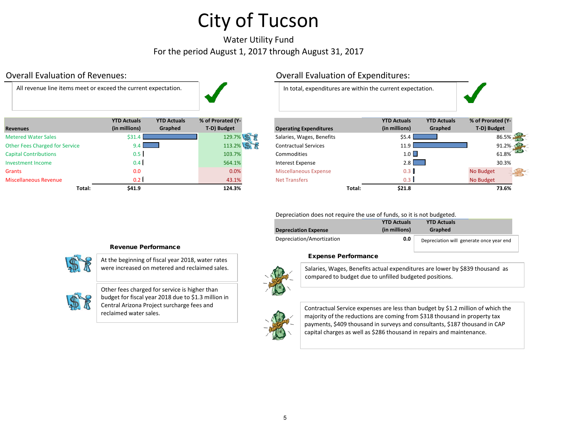## Water Utility Fund For the period August 1, 2017 through August 31, 2017

All revenue line items meet or exceed the current expectation. In total, expenditures are within the current expectation.

| <b>Revenues</b>                       | <b>YTD Actuals</b><br>(in millions) | <b>YTD Actuals</b><br>Graphed | % of Prorated (Y-<br>T-D) Budget | <b>Operating Expenditures</b> |        | <b>YTD Actuals</b><br>(in millions) | <b>YTD Actuals</b><br>Graphed | % of Prorated (Y-<br>T-D) Budget |
|---------------------------------------|-------------------------------------|-------------------------------|----------------------------------|-------------------------------|--------|-------------------------------------|-------------------------------|----------------------------------|
| <b>Metered Water Sales</b>            | \$31                                |                               | 129.7% 第 素                       | Salaries, Wages, Benefits     |        | \$5.4                               |                               | 86.5%                            |
| <b>Other Fees Charged for Service</b> | 9.4                                 |                               | 113.2% 岛景                        | <b>Contractual Services</b>   |        | $11.9 -$                            |                               | 91.2%                            |
| <b>Capital Contributions</b>          | 0.5                                 |                               | 103.7%                           | <b>Commodities</b>            |        | 1.0                                 |                               | 61.8%                            |
| <b>Investment Income</b>              | 0.4                                 |                               | 564.1%                           | Interest Expense              |        | 2.8                                 |                               | 30.3%                            |
| Grants                                | 0.0                                 |                               | 0.0%                             | <b>Miscellaneous Expense</b>  |        | 0.3                                 |                               | No Budget                        |
| <b>Miscellaneous Revenue</b>          | 0.2 <sub>1</sub>                    |                               | 43.1%                            | <b>Net Transfers</b>          |        | 0.3                                 |                               | No Budget                        |
| Total:                                | \$41.9                              |                               | 124.3%                           |                               | Total: | \$21.8                              |                               | 73.6%                            |

## Overall Evaluation of Revenues: Overall Evaluation of Expenditures:

|        | <b>YTD Actuals</b><br>(in millions) | <b>YTD Actuals</b><br>Graphed | % of Prorated (Y-<br>T-D) Budget | <b>Operating Expenditures</b> |        | <b>YTD Actuals</b><br>(in millions) | <b>YTD Actuals</b><br>Graphed | % of Prorated (Y-<br>T-D) Budget |       |
|--------|-------------------------------------|-------------------------------|----------------------------------|-------------------------------|--------|-------------------------------------|-------------------------------|----------------------------------|-------|
|        | \$31.4\$                            |                               | 129.7% 第                         | Salaries, Wages, Benefits     |        | \$5.4                               |                               |                                  | 86.5% |
|        | $9.4 \text{ L}$                     |                               | 113.2% 最 素                       | <b>Contractual Services</b>   |        | 11.9                                |                               |                                  | 91.2% |
|        | $0.5 \mid$                          |                               | 103.7%                           | <b>Commodities</b>            |        | 1.0 <sub>h</sub>                    |                               |                                  | 61.8% |
|        | $0.4 \mid$                          |                               | 564.1%                           | Interest Expense              |        | 2.8                                 |                               | 30.3%                            |       |
|        | 0.0                                 |                               | 0.0%                             | <b>Miscellaneous Expense</b>  |        | 0.3                                 |                               | No Budget                        |       |
|        | $0.2 \square$                       |                               | 43.1%                            | <b>Net Transfers</b>          |        | 0.3                                 |                               | No Budget                        |       |
| Total: | \$41.9                              |                               | 124.3%                           |                               | Total: | \$21.8                              |                               | 73.6%                            |       |

## Depreciation does not require the use of funds, so it is not budgeted.

| <b>Depreciation Expense</b> | <b>YTD Actuals</b><br>(in millions) | <b>YTD Actuals</b><br>Graphed |                                          |
|-----------------------------|-------------------------------------|-------------------------------|------------------------------------------|
| Depreciation/Amortization   | 0.0                                 |                               | Depreciation will generate once year end |

## Expense Performance

compared to budget due to unfilled budgeted positions.



Contractual Service expenses are less than budget by \$1.2 million of which the majority of the reductions are coming from \$318 thousand in property tax payments, \$409 thousand in surveys and consultants, \$187 thousand in CAP capital charges as well as \$286 thousand in repairs and maintenance.

## Revenue Performance

At the beginning of fiscal year 2018, water rates were increased on metered and reclaimed sales. Salaries, Wages, Benefits actual expenditures are lower by \$839 thousand as

Other fees charged for service is higher than budget for fiscal year 2018 due to \$1.3 million in Central Arizona Project surcharge fees and reclaimed water sales.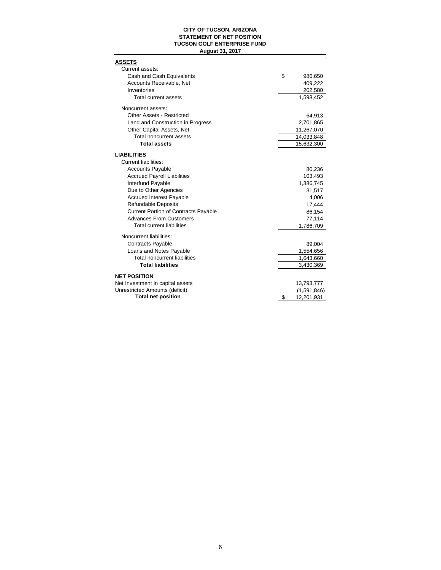## **CITY OF TUCSON, ARIZONA STATEMENT OF NET POSITION TUCSON GOLF ENTERPRISE FUND August 31, 2017**

| <b>ASSETS</b>                                |                        |
|----------------------------------------------|------------------------|
| Current assets:                              |                        |
| Cash and Cash Equivalents                    | \$<br>986,650          |
| Accounts Receivable, Net                     | 409,222                |
| Inventories                                  | 202,580                |
| Total current assets                         | 1,598,452              |
| Noncurrent assets:                           |                        |
| Other Assets - Restricted                    | 64,913                 |
| Land and Construction in Progress            | 2,701,865              |
| Other Capital Assets, Net                    | 11,267,070             |
| Total noncurrent assets                      | 14,033,848             |
| <b>Total assets</b>                          | 15,632,300             |
| <b>LIABILITIES</b>                           |                        |
| <b>Current liabilities:</b>                  |                        |
| <b>Accounts Payable</b>                      | 80,236                 |
| <b>Accrued Payroll Liabilities</b>           | 103,493                |
| Interfund Payable                            | 1,386,745              |
| Due to Other Agencies                        | 31,517                 |
| <b>Accrued Interest Payable</b>              | 4,006                  |
| <b>Refundable Deposits</b>                   | 17,444                 |
| <b>Current Portion of Contracts Payable</b>  | 86,154                 |
| <b>Advances From Customers</b>               | 77,114                 |
| <b>Total current liabilities</b>             | 1,786,709              |
|                                              |                        |
| Noncurrent liabilities:                      |                        |
| Contracts Payable<br>Loans and Notes Payable | 89,004                 |
| <b>Total noncurrent liabilities</b>          | 1,554,656              |
| <b>Total liabilities</b>                     | 1,643,660<br>3,430,369 |
|                                              |                        |
| <b>NET POSITION</b>                          |                        |
| Net Investment in capital assets             | 13,793,777             |
| Unrestricted Amounts (deficit)               | (1,591,846)            |
| <b>Total net position</b>                    | \$<br>12,201,931       |